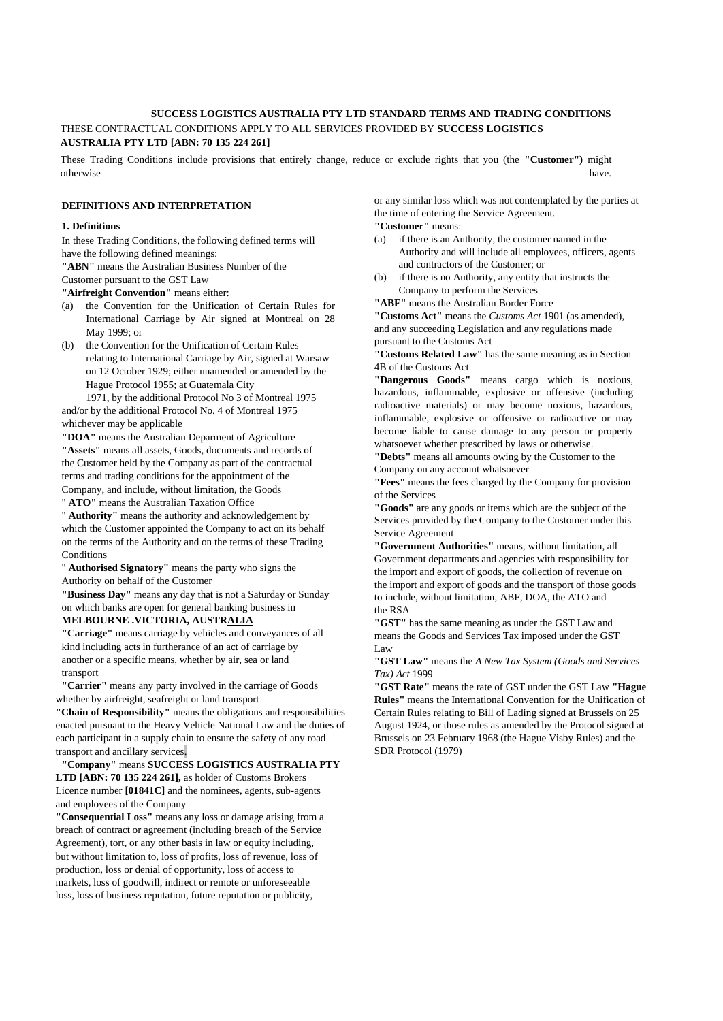# **SUCCESS LOGISTICS AUSTRALIA PTY LTD STANDARD TERMS AND TRADING CONDITIONS** THESE CONTRACTUAL CONDITIONS APPLY TO ALL SERVICES PROVIDED BY **SUCCESS LOGISTICS AUSTRALIA PTY LTD [ABN: 70 135 224 261]**

These Trading Conditions include provisions that entirely change, reduce or exclude rights that you (the **"Customer")** might otherwise have. The contract of the contract of the contract of the contract of the contract of the contract of the contract of the contract of the contract of the contract of the contract of the contract of the contract o

# **DEFINITIONS AND INTERPRETATION**

### **1. Definitions**

In these Trading Conditions, the following defined terms will have the following defined meanings:

**"ABN"** means the Australian Business Number of the

Customer pursuant to the GST Law

**"Airfreight Convention"** means either:

- (a) the Convention for the Unification of Certain Rules for International Carriage by Air signed at Montreal on 28 May 1999; or
- (b) the Convention for the Unification of Certain Rules relating to International Carriage by Air, signed at Warsaw on 12 October 1929; either unamended or amended by the Hague Protocol 1955; at Guatemala City

1971, by the additional Protocol No 3 of Montreal 1975 and/or by the additional Protocol No. 4 of Montreal 1975 whichever may be applicable

**"DOA"** means the Australian Deparment of Agriculture **"Assets"** means all assets, Goods, documents and records of the Customer held by the Company as part of the contractual terms and trading conditions for the appointment of the Company, and include, without limitation, the Goods

" **ATO"** means the Australian Taxation Office

" **Authority"** means the authority and acknowledgement by which the Customer appointed the Company to act on its behalf on the terms of the Authority and on the terms of these Trading Conditions

" **Authorised Signatory"** means the party who signs the Authority on behalf of the Customer

**"Business Day"** means any day that is not a Saturday or Sunday on which banks are open for general banking business in

# **MELBOURNE .VICTORIA, AUSTRALIA**

**"Carriage"** means carriage by vehicles and conveyances of all kind including acts in furtherance of an act of carriage by another or a specific means, whether by air, sea or land transport

**"Carrier"** means any party involved in the carriage of Goods whether by airfreight, seafreight or land transport

**"Chain of Responsibility"** means the obligations and responsibilities enacted pursuant to the Heavy Vehicle National Law and the duties of each participant in a supply chain to ensure the safety of any road transport and ancillary services.

# **"Company"** means **SUCCESS LOGISTICS AUSTRALIA PTY LTD [ABN: 70 135 224 261],** as holder of Customs Brokers Licence number **[01841C]** and the nominees, agents, sub-agents

and employees of the Company **"Consequential Loss"** means any loss or damage arising from a

breach of contract or agreement (including breach of the Service Agreement), tort, or any other basis in law or equity including, but without limitation to, loss of profits, loss of revenue, loss of production, loss or denial of opportunity, loss of access to markets, loss of goodwill, indirect or remote or unforeseeable loss, loss of business reputation, future reputation or publicity,

or any similar loss which was not contemplated by the parties at the time of entering the Service Agreement.

**"Customer"** means:

- (a) if there is an Authority, the customer named in the Authority and will include all employees, officers, agents and contractors of the Customer; or
- (b) if there is no Authority, any entity that instructs the Company to perform the Services

**"ABF"** means the Australian Border Force

**"Customs Act"** means the *Customs Act* 1901 (as amended), and any succeeding Legislation and any regulations made pursuant to the Customs Act

**"Customs Related Law"** has the same meaning as in Section 4B of the Customs Act

**"Dangerous Goods"** means cargo which is noxious, hazardous, inflammable, explosive or offensive (including radioactive materials) or may become noxious, hazardous, inflammable, explosive or offensive or radioactive or may become liable to cause damage to any person or property whatsoever whether prescribed by laws or otherwise.

**"Debts"** means all amounts owing by the Customer to the Company on any account whatsoever

**"Fees"** means the fees charged by the Company for provision of the Services

**"Goods"** are any goods or items which are the subject of the Services provided by the Company to the Customer under this Service Agreement

**"Government Authorities"** means, without limitation, all Government departments and agencies with responsibility for the import and export of goods, the collection of revenue on the import and export of goods and the transport of those goods to include, without limitation, ABF, DOA, the ATO and the RSA

**"GST"** has the same meaning as under the GST Law and means the Goods and Services Tax imposed under the GST Law

**"GST Law"** means the *A New Tax System (Goods and Services Tax) Act* 1999

**"GST Rate"** means the rate of GST under the GST Law **"Hague Rules"** means the International Convention for the Unification of Certain Rules relating to Bill of Lading signed at Brussels on 25 August 1924, or those rules as amended by the Protocol signed at Brussels on 23 February 1968 (the Hague Visby Rules) and the SDR Protocol (1979)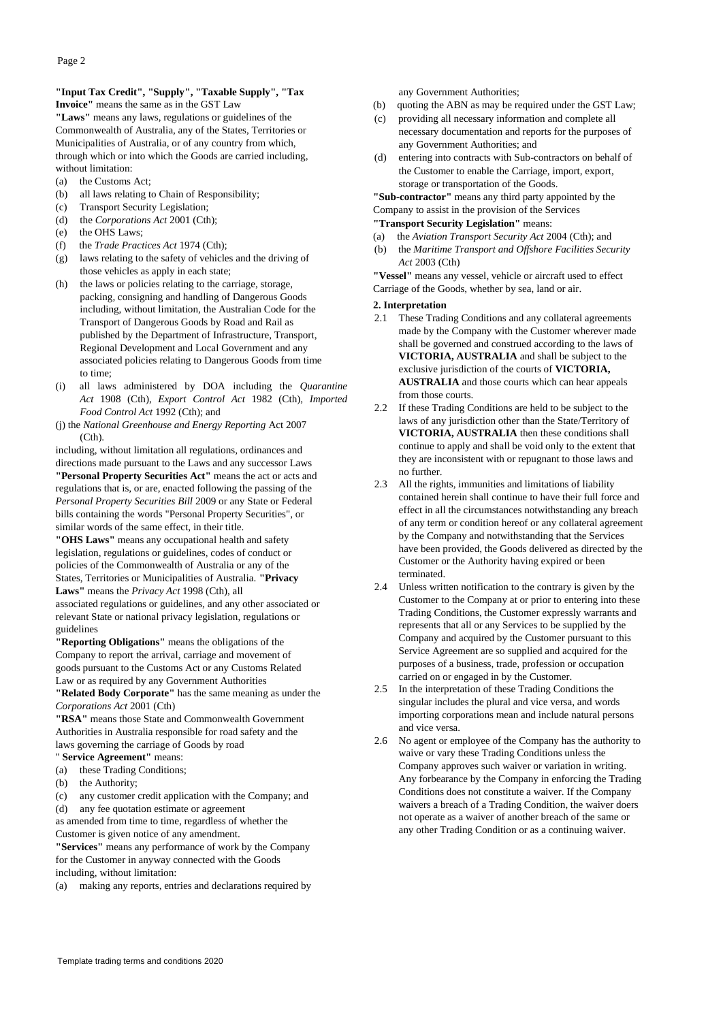# **"Input Tax Credit", "Supply", "Taxable Supply", "Tax Invoice"** means the same as in the GST Law

**"Laws"** means any laws, regulations or guidelines of the Commonwealth of Australia, any of the States, Territories or Municipalities of Australia, or of any country from which, through which or into which the Goods are carried including, without limitation:

- (a) the Customs Act;
- (b) all laws relating to Chain of Responsibility;
- (c) Transport Security Legislation;
- (d) the *Corporations Act* 2001 (Cth);
- (e) the OHS Laws;
- (f) the *Trade Practices Act* 1974 (Cth);
- (g) laws relating to the safety of vehicles and the driving of those vehicles as apply in each state;
- (h) the laws or policies relating to the carriage, storage, packing, consigning and handling of Dangerous Goods including, without limitation, the Australian Code for the Transport of Dangerous Goods by Road and Rail as published by the Department of Infrastructure, Transport, Regional Development and Local Government and any associated policies relating to Dangerous Goods from time to time;
- (i) all laws administered by DOA including the *Quarantine Act* 1908 (Cth), *Export Control Act* 1982 (Cth), *Imported Food Control Act* 1992 (Cth); and
- (j) the *National Greenhouse and Energy Reporting* Act 2007  $(Ch)$ .

including, without limitation all regulations, ordinances and directions made pursuant to the Laws and any successor Laws **"Personal Property Securities Act"** means the act or acts and regulations that is, or are, enacted following the passing of the *Personal Property Securities Bill* 2009 or any State or Federal bills containing the words "Personal Property Securities", or similar words of the same effect, in their title.

**"OHS Laws"** means any occupational health and safety legislation, regulations or guidelines, codes of conduct or policies of the Commonwealth of Australia or any of the States, Territories or Municipalities of Australia. **"Privacy Laws"** means the *Privacy Act* 1998 (Cth), all

associated regulations or guidelines, and any other associated or relevant State or national privacy legislation, regulations or guidelines

**"Reporting Obligations"** means the obligations of the Company to report the arrival, carriage and movement of goods pursuant to the Customs Act or any Customs Related Law or as required by any Government Authorities

**"Related Body Corporate"** has the same meaning as under the *Corporations Act* 2001 (Cth)

**"RSA"** means those State and Commonwealth Government Authorities in Australia responsible for road safety and the laws governing the carriage of Goods by road " **Service Agreement"** means:

- (a) these Trading Conditions;
- (b) the Authority;

(c) any customer credit application with the Company; and (d) any fee quotation estimate or agreement

as amended from time to time, regardless of whether the Customer is given notice of any amendment.

**"Services"** means any performance of work by the Company for the Customer in anyway connected with the Goods

including, without limitation:

(a) making any reports, entries and declarations required by

any Government Authorities;

- (b) quoting the ABN as may be required under the GST Law;
- (c) providing all necessary information and complete all necessary documentation and reports for the purposes of any Government Authorities; and
- (d) entering into contracts with Sub-contractors on behalf of the Customer to enable the Carriage, import, export, storage or transportation of the Goods.

**"Sub-contractor"** means any third party appointed by the Company to assist in the provision of the Services

**"Transport Security Legislation"** means:

- (a) the *Aviation Transport Security Act* 2004 (Cth); and
- (b) the *Maritime Transport and Offshore Facilities Security Act* 2003 (Cth)

**"Vessel"** means any vessel, vehicle or aircraft used to effect Carriage of the Goods, whether by sea, land or air.

#### **2. Interpretation**

- 2.1 These Trading Conditions and any collateral agreements made by the Company with the Customer wherever made shall be governed and construed according to the laws of **VICTORIA, AUSTRALIA** and shall be subject to the exclusive jurisdiction of the courts of **VICTORIA, AUSTRALIA** and those courts which can hear appeals from those courts.
- 2.2 If these Trading Conditions are held to be subject to the laws of any jurisdiction other than the State/Territory of **VICTORIA, AUSTRALIA** then these conditions shall continue to apply and shall be void only to the extent that they are inconsistent with or repugnant to those laws and no further.
- 2.3 All the rights, immunities and limitations of liability contained herein shall continue to have their full force and effect in all the circumstances notwithstanding any breach of any term or condition hereof or any collateral agreement by the Company and notwithstanding that the Services have been provided, the Goods delivered as directed by the Customer or the Authority having expired or been terminated.
- 2.4 Unless written notification to the contrary is given by the Customer to the Company at or prior to entering into these Trading Conditions, the Customer expressly warrants and represents that all or any Services to be supplied by the Company and acquired by the Customer pursuant to this Service Agreement are so supplied and acquired for the purposes of a business, trade, profession or occupation carried on or engaged in by the Customer.
- 2.5 In the interpretation of these Trading Conditions the singular includes the plural and vice versa, and words importing corporations mean and include natural persons and vice versa.
- 2.6 No agent or employee of the Company has the authority to waive or vary these Trading Conditions unless the Company approves such waiver or variation in writing. Any forbearance by the Company in enforcing the Trading Conditions does not constitute a waiver. If the Company waivers a breach of a Trading Condition, the waiver doers not operate as a waiver of another breach of the same or any other Trading Condition or as a continuing waiver.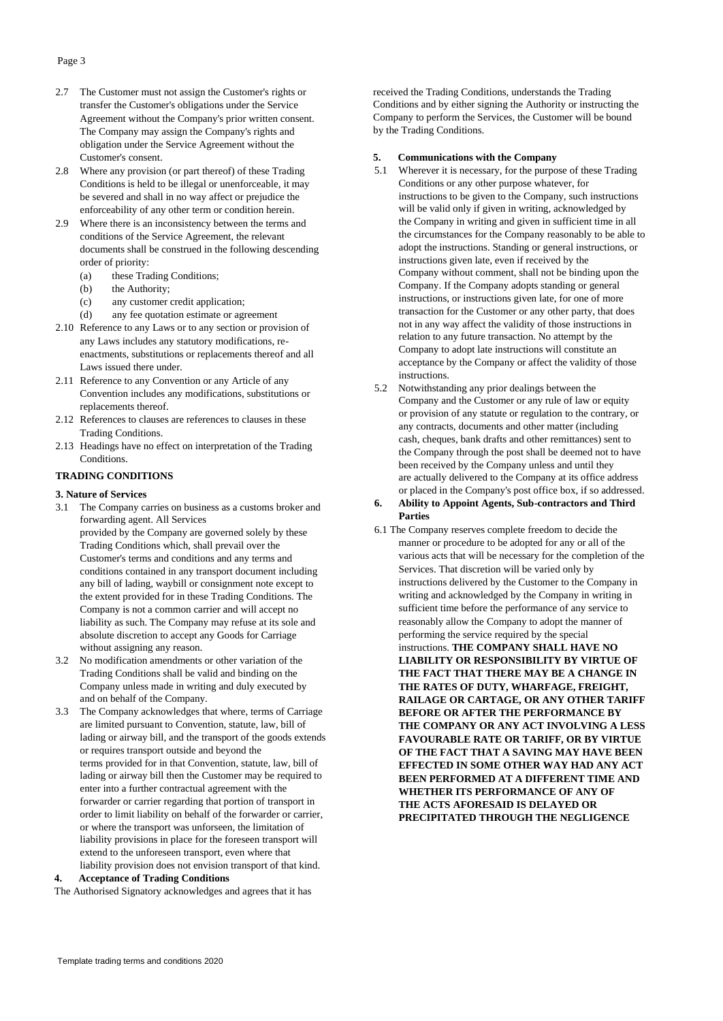# Page 3

- 2.7 The Customer must not assign the Customer's rights or transfer the Customer's obligations under the Service Agreement without the Company's prior written consent. The Company may assign the Company's rights and obligation under the Service Agreement without the Customer's consent.
- 2.8 Where any provision (or part thereof) of these Trading Conditions is held to be illegal or unenforceable, it may be severed and shall in no way affect or prejudice the enforceability of any other term or condition herein.
- 2.9 Where there is an inconsistency between the terms and conditions of the Service Agreement, the relevant documents shall be construed in the following descending order of priority:
	- (a) these Trading Conditions;
	- (b) the Authority;
	- (c) any customer credit application;
	- (d) any fee quotation estimate or agreement
- 2.10 Reference to any Laws or to any section or provision of any Laws includes any statutory modifications, reenactments, substitutions or replacements thereof and all Laws issued there under.
- 2.11 Reference to any Convention or any Article of any Convention includes any modifications, substitutions or replacements thereof.
- 2.12 References to clauses are references to clauses in these Trading Conditions.
- 2.13 Headings have no effect on interpretation of the Trading Conditions.

# **TRADING CONDITIONS**

#### **3. Nature of Services**

- 3.1 The Company carries on business as a customs broker and forwarding agent. All Services provided by the Company are governed solely by these Trading Conditions which, shall prevail over the Customer's terms and conditions and any terms and conditions contained in any transport document including any bill of lading, waybill or consignment note except to the extent provided for in these Trading Conditions. The Company is not a common carrier and will accept no liability as such. The Company may refuse at its sole and absolute discretion to accept any Goods for Carriage without assigning any reason.
- 3.2 No modification amendments or other variation of the Trading Conditions shall be valid and binding on the Company unless made in writing and duly executed by and on behalf of the Company.
- 3.3 The Company acknowledges that where, terms of Carriage are limited pursuant to Convention, statute, law, bill of lading or airway bill, and the transport of the goods extends or requires transport outside and beyond the terms provided for in that Convention, statute, law, bill of lading or airway bill then the Customer may be required to enter into a further contractual agreement with the forwarder or carrier regarding that portion of transport in order to limit liability on behalf of the forwarder or carrier, or where the transport was unforseen, the limitation of liability provisions in place for the foreseen transport will extend to the unforeseen transport, even where that liability provision does not envision transport of that kind.

#### **4. Acceptance of Trading Conditions**

The Authorised Signatory acknowledges and agrees that it has

received the Trading Conditions, understands the Trading Conditions and by either signing the Authority or instructing the Company to perform the Services, the Customer will be bound by the Trading Conditions.

# **5. Communications with the Company**

- 5.1 Wherever it is necessary, for the purpose of these Trading Conditions or any other purpose whatever, for instructions to be given to the Company, such instructions will be valid only if given in writing, acknowledged by the Company in writing and given in sufficient time in all the circumstances for the Company reasonably to be able to adopt the instructions. Standing or general instructions, or instructions given late, even if received by the Company without comment, shall not be binding upon the Company. If the Company adopts standing or general instructions, or instructions given late, for one of more transaction for the Customer or any other party, that does not in any way affect the validity of those instructions in relation to any future transaction. No attempt by the Company to adopt late instructions will constitute an acceptance by the Company or affect the validity of those instructions.
- 5.2 Notwithstanding any prior dealings between the Company and the Customer or any rule of law or equity or provision of any statute or regulation to the contrary, or any contracts, documents and other matter (including cash, cheques, bank drafts and other remittances) sent to the Company through the post shall be deemed not to have been received by the Company unless and until they are actually delivered to the Company at its office address or placed in the Company's post office box, if so addressed.

# **6. Ability to Appoint Agents, Sub-contractors and Third Parties**

6.1 The Company reserves complete freedom to decide the manner or procedure to be adopted for any or all of the various acts that will be necessary for the completion of the Services. That discretion will be varied only by instructions delivered by the Customer to the Company in writing and acknowledged by the Company in writing in sufficient time before the performance of any service to reasonably allow the Company to adopt the manner of performing the service required by the special instructions. **THE COMPANY SHALL HAVE NO LIABILITY OR RESPONSIBILITY BY VIRTUE OF THE FACT THAT THERE MAY BE A CHANGE IN THE RATES OF DUTY, WHARFAGE, FREIGHT, RAILAGE OR CARTAGE, OR ANY OTHER TARIFF BEFORE OR AFTER THE PERFORMANCE BY THE COMPANY OR ANY ACT INVOLVING A LESS FAVOURABLE RATE OR TARIFF, OR BY VIRTUE OF THE FACT THAT A SAVING MAY HAVE BEEN EFFECTED IN SOME OTHER WAY HAD ANY ACT BEEN PERFORMED AT A DIFFERENT TIME AND WHETHER ITS PERFORMANCE OF ANY OF THE ACTS AFORESAID IS DELAYED OR PRECIPITATED THROUGH THE NEGLIGENCE**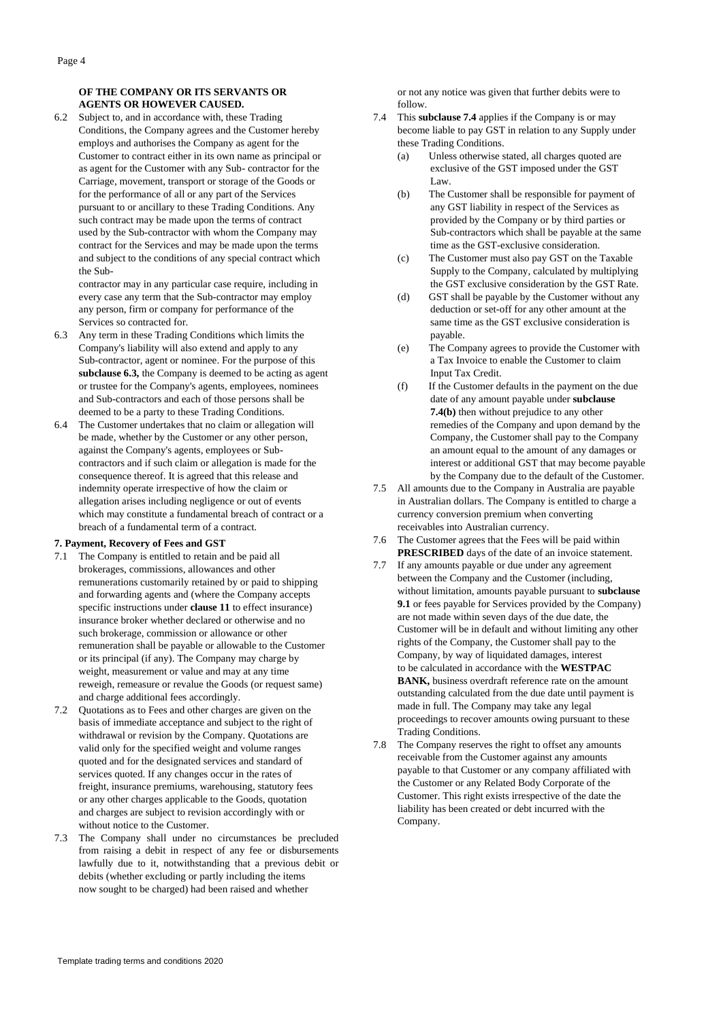# **OF THE COMPANY OR ITS SERVANTS OR AGENTS OR HOWEVER CAUSED.**

6.2 Subject to, and in accordance with, these Trading Conditions, the Company agrees and the Customer hereby employs and authorises the Company as agent for the Customer to contract either in its own name as principal or as agent for the Customer with any Sub- contractor for the Carriage, movement, transport or storage of the Goods or for the performance of all or any part of the Services pursuant to or ancillary to these Trading Conditions. Any such contract may be made upon the terms of contract used by the Sub-contractor with whom the Company may contract for the Services and may be made upon the terms and subject to the conditions of any special contract which the Sub-

contractor may in any particular case require, including in every case any term that the Sub-contractor may employ any person, firm or company for performance of the Services so contracted for.

- 6.3 Any term in these Trading Conditions which limits the Company's liability will also extend and apply to any Sub-contractor, agent or nominee. For the purpose of this **subclause 6.3,** the Company is deemed to be acting as agent or trustee for the Company's agents, employees, nominees and Sub-contractors and each of those persons shall be deemed to be a party to these Trading Conditions.
- 6.4 The Customer undertakes that no claim or allegation will be made, whether by the Customer or any other person, against the Company's agents, employees or Subcontractors and if such claim or allegation is made for the consequence thereof. It is agreed that this release and indemnity operate irrespective of how the claim or allegation arises including negligence or out of events which may constitute a fundamental breach of contract or a breach of a fundamental term of a contract.

#### **7. Payment, Recovery of Fees and GST**

- 7.1 The Company is entitled to retain and be paid all brokerages, commissions, allowances and other remunerations customarily retained by or paid to shipping and forwarding agents and (where the Company accepts specific instructions under **clause 11** to effect insurance) insurance broker whether declared or otherwise and no such brokerage, commission or allowance or other remuneration shall be payable or allowable to the Customer or its principal (if any). The Company may charge by weight, measurement or value and may at any time reweigh, remeasure or revalue the Goods (or request same) and charge additional fees accordingly.
- 7.2 Quotations as to Fees and other charges are given on the basis of immediate acceptance and subject to the right of withdrawal or revision by the Company. Quotations are valid only for the specified weight and volume ranges quoted and for the designated services and standard of services quoted. If any changes occur in the rates of freight, insurance premiums, warehousing, statutory fees or any other charges applicable to the Goods, quotation and charges are subject to revision accordingly with or without notice to the Customer.
- 7.3 The Company shall under no circumstances be precluded from raising a debit in respect of any fee or disbursements lawfully due to it, notwithstanding that a previous debit or debits (whether excluding or partly including the items now sought to be charged) had been raised and whether

or not any notice was given that further debits were to follow.

- 7.4 This **subclause 7.4** applies if the Company is or may become liable to pay GST in relation to any Supply under these Trading Conditions.
	- (a) Unless otherwise stated, all charges quoted are exclusive of the GST imposed under the GST Law.
	- (b) The Customer shall be responsible for payment of any GST liability in respect of the Services as provided by the Company or by third parties or Sub-contractors which shall be payable at the same time as the GST-exclusive consideration.
	- (c) The Customer must also pay GST on the Taxable Supply to the Company, calculated by multiplying the GST exclusive consideration by the GST Rate.
	- (d) GST shall be payable by the Customer without any deduction or set-off for any other amount at the same time as the GST exclusive consideration is payable.
	- (e) The Company agrees to provide the Customer with a Tax Invoice to enable the Customer to claim Input Tax Credit.
	- (f) If the Customer defaults in the payment on the due date of any amount payable under **subclause 7.4(b)** then without prejudice to any other remedies of the Company and upon demand by the Company, the Customer shall pay to the Company an amount equal to the amount of any damages or interest or additional GST that may become payable by the Company due to the default of the Customer.
- 7.5 All amounts due to the Company in Australia are payable in Australian dollars. The Company is entitled to charge a currency conversion premium when converting receivables into Australian currency.
- 7.6 The Customer agrees that the Fees will be paid within **PRESCRIBED** days of the date of an invoice statement.
- 7.7 If any amounts payable or due under any agreement between the Company and the Customer (including, without limitation, amounts payable pursuant to **subclause 9.1** or fees payable for Services provided by the Company) are not made within seven days of the due date, the Customer will be in default and without limiting any other rights of the Company, the Customer shall pay to the Company, by way of liquidated damages, interest to be calculated in accordance with the **WESTPAC BANK,** business overdraft reference rate on the amount outstanding calculated from the due date until payment is made in full. The Company may take any legal proceedings to recover amounts owing pursuant to these Trading Conditions.
- 7.8 The Company reserves the right to offset any amounts receivable from the Customer against any amounts payable to that Customer or any company affiliated with the Customer or any Related Body Corporate of the Customer. This right exists irrespective of the date the liability has been created or debt incurred with the Company.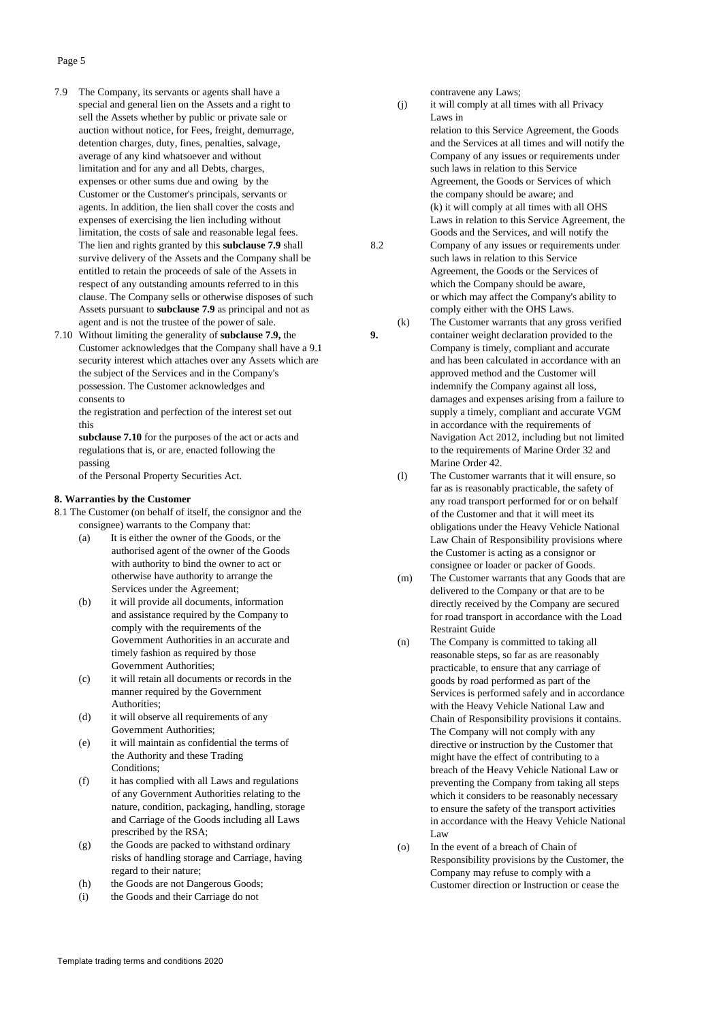### Page 5

- 7.9 The Company, its servants or agents shall have a special and general lien on the Assets and a right to sell the Assets whether by public or private sale or auction without notice, for Fees, freight, demurrage, detention charges, duty, fines, penalties, salvage, average of any kind whatsoever and without limitation and for any and all Debts, charges, expenses or other sums due and owing by the Customer or the Customer's principals, servants or agents. In addition, the lien shall cover the costs and expenses of exercising the lien including without limitation, the costs of sale and reasonable legal fees. The lien and rights granted by this **subclause 7.9** shall 8.2 survive delivery of the Assets and the Company shall be entitled to retain the proceeds of sale of the Assets in respect of any outstanding amounts referred to in this clause. The Company sells or otherwise disposes of such Assets pursuant to **subclause 7.9** as principal and not as agent and is not the trustee of the power of sale.
- 7.10 Without limiting the generality of **subclause 7.9,** the **9.** Customer acknowledges that the Company shall have a 9.1 security interest which attaches over any Assets which are the subject of the Services and in the Company's possession. The Customer acknowledges and consents to

the registration and perfection of the interest set out this

**subclause 7.10** for the purposes of the act or acts and regulations that is, or are, enacted following the passing

of the Personal Property Securities Act.

#### **8. Warranties by the Customer**

8.1 The Customer (on behalf of itself, the consignor and the consignee) warrants to the Company that:

- (a) It is either the owner of the Goods, or the authorised agent of the owner of the Goods with authority to bind the owner to act or otherwise have authority to arrange the Services under the Agreement;
- (b) it will provide all documents, information and assistance required by the Company to comply with the requirements of the Government Authorities in an accurate and timely fashion as required by those Government Authorities;
- (c) it will retain all documents or records in the manner required by the Government Authorities;
- (d) it will observe all requirements of any Government Authorities;
- (e) it will maintain as confidential the terms of the Authority and these Trading Conditions;
- (f) it has complied with all Laws and regulations of any Government Authorities relating to the nature, condition, packaging, handling, storage and Carriage of the Goods including all Laws prescribed by the RSA;
- (g) the Goods are packed to withstand ordinary risks of handling storage and Carriage, having regard to their nature;
- (h) the Goods are not Dangerous Goods;
- (i) the Goods and their Carriage do not

contravene any Laws;

(j) it will comply at all times with all Privacy Laws in

relation to this Service Agreement, the Goods and the Services at all times and will notify the Company of any issues or requirements under such laws in relation to this Service Agreement, the Goods or Services of which the company should be aware; and (k) it will comply at all times with all OHS Laws in relation to this Service Agreement, the Goods and the Services, and will notify the Company of any issues or requirements under such laws in relation to this Service Agreement, the Goods or the Services of which the Company should be aware, or which may affect the Company's ability to comply either with the OHS Laws.

(k) The Customer warrants that any gross verified container weight declaration provided to the Company is timely, compliant and accurate and has been calculated in accordance with an approved method and the Customer will indemnify the Company against all loss, damages and expenses arising from a failure to supply a timely, compliant and accurate VGM in accordance with the requirements of Navigation Act 2012, including but not limited to the requirements of Marine Order 32 and Marine Order 42.

(l) The Customer warrants that it will ensure, so far as is reasonably practicable, the safety of any road transport performed for or on behalf of the Customer and that it will meet its obligations under the Heavy Vehicle National Law Chain of Responsibility provisions where the Customer is acting as a consignor or consignee or loader or packer of Goods.

- (m) The Customer warrants that any Goods that are delivered to the Company or that are to be directly received by the Company are secured for road transport in accordance with the Load Restraint Guide
- (n) The Company is committed to taking all reasonable steps, so far as are reasonably practicable, to ensure that any carriage of goods by road performed as part of the Services is performed safely and in accordance with the Heavy Vehicle National Law and Chain of Responsibility provisions it contains. The Company will not comply with any directive or instruction by the Customer that might have the effect of contributing to a breach of the Heavy Vehicle National Law or preventing the Company from taking all steps which it considers to be reasonably necessary to ensure the safety of the transport activities in accordance with the Heavy Vehicle National Law
- (o) In the event of a breach of Chain of Responsibility provisions by the Customer, the Company may refuse to comply with a Customer direction or Instruction or cease the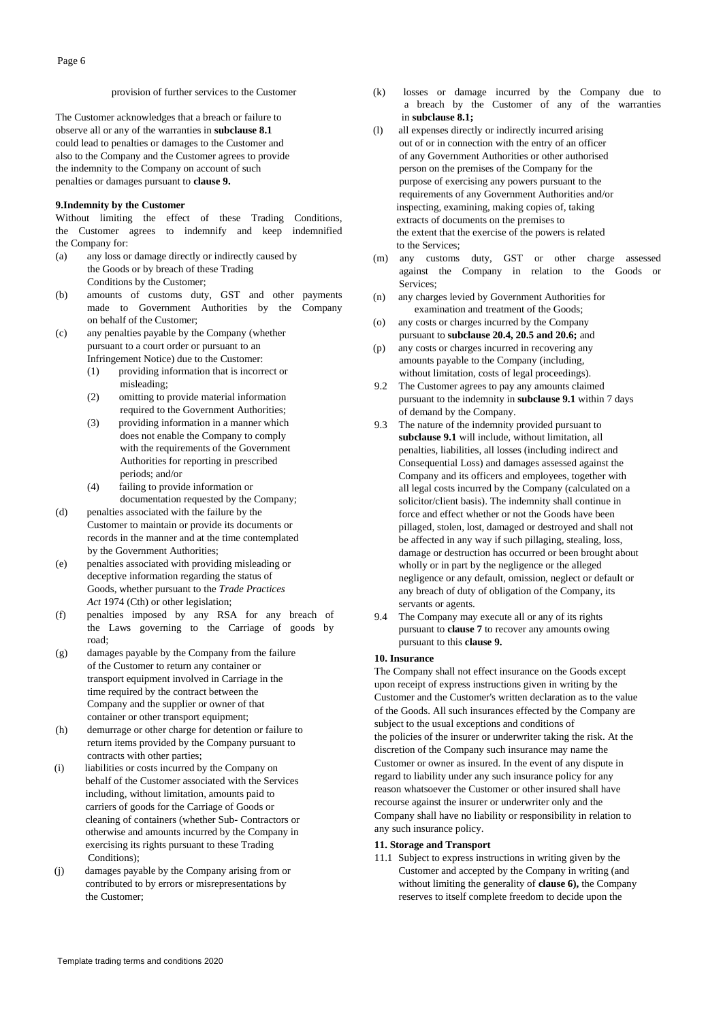#### provision of further services to the Customer

The Customer acknowledges that a breach or failure to observe all or any of the warranties in **subclause 8.1** could lead to penalties or damages to the Customer and also to the Company and the Customer agrees to provide the indemnity to the Company on account of such penalties or damages pursuant to **clause 9.**

### **9.Indemnity by the Customer**

Without limiting the effect of these Trading Conditions, the Customer agrees to indemnify and keep indemnified the Company for:

- (a) any loss or damage directly or indirectly caused by the Goods or by breach of these Trading Conditions by the Customer;
- (b) amounts of customs duty, GST and other payments made to Government Authorities by the Company on behalf of the Customer;
- (c) any penalties payable by the Company (whether pursuant to a court order or pursuant to an Infringement Notice) due to the Customer:
	- (1) providing information that is incorrect or misleading;
	- (2) omitting to provide material information required to the Government Authorities;
	- (3) providing information in a manner which does not enable the Company to comply with the requirements of the Government Authorities for reporting in prescribed periods; and/or
	- (4) failing to provide information or documentation requested by the Company;
- (d) penalties associated with the failure by the Customer to maintain or provide its documents or records in the manner and at the time contemplated by the Government Authorities;
- (e) penalties associated with providing misleading or deceptive information regarding the status of Goods, whether pursuant to the *Trade Practices* Act 1974 (Cth) or other legislation;
- (f) penalties imposed by any RSA for any breach of the Laws governing to the Carriage of goods by road;
- (g) damages payable by the Company from the failure of the Customer to return any container or transport equipment involved in Carriage in the time required by the contract between the Company and the supplier or owner of that container or other transport equipment;
- (h) demurrage or other charge for detention or failure to return items provided by the Company pursuant to contracts with other parties;
- (i) liabilities or costs incurred by the Company on behalf of the Customer associated with the Services including, without limitation, amounts paid to carriers of goods for the Carriage of Goods or cleaning of containers (whether Sub- Contractors or otherwise and amounts incurred by the Company in exercising its rights pursuant to these Trading Conditions);
- (j) damages payable by the Company arising from or contributed to by errors or misrepresentations by the Customer;
- (k) losses or damage incurred by the Company due to a breach by the Customer of any of the warranties in **subclause 8.1;**
- (l) all expenses directly or indirectly incurred arising out of or in connection with the entry of an officer of any Government Authorities or other authorised person on the premises of the Company for the purpose of exercising any powers pursuant to the requirements of any Government Authorities and/or inspecting, examining, making copies of, taking extracts of documents on the premises to the extent that the exercise of the powers is related to the Services;
- (m) any customs duty, GST or other charge assessed against the Company in relation to the Goods or Services;
- (n) any charges levied by Government Authorities for examination and treatment of the Goods;
- (o) any costs or charges incurred by the Company pursuant to **subclause 20.4, 20.5 and 20.6;** and
- (p) any costs or charges incurred in recovering any amounts payable to the Company (including, without limitation, costs of legal proceedings).
- 9.2 The Customer agrees to pay any amounts claimed pursuant to the indemnity in **subclause 9.1** within 7 days of demand by the Company.
- 9.3 The nature of the indemnity provided pursuant to **subclause 9.1** will include, without limitation, all penalties, liabilities, all losses (including indirect and Consequential Loss) and damages assessed against the Company and its officers and employees, together with all legal costs incurred by the Company (calculated on a solicitor/client basis). The indemnity shall continue in force and effect whether or not the Goods have been pillaged, stolen, lost, damaged or destroyed and shall not be affected in any way if such pillaging, stealing, loss, damage or destruction has occurred or been brought about wholly or in part by the negligence or the alleged negligence or any default, omission, neglect or default or any breach of duty of obligation of the Company, its servants or agents.
- 9.4 The Company may execute all or any of its rights pursuant to **clause 7** to recover any amounts owing pursuant to this **clause 9.**

# **10. Insurance**

The Company shall not effect insurance on the Goods except upon receipt of express instructions given in writing by the Customer and the Customer's written declaration as to the value of the Goods. All such insurances effected by the Company are subject to the usual exceptions and conditions of the policies of the insurer or underwriter taking the risk. At the discretion of the Company such insurance may name the Customer or owner as insured. In the event of any dispute in regard to liability under any such insurance policy for any reason whatsoever the Customer or other insured shall have recourse against the insurer or underwriter only and the Company shall have no liability or responsibility in relation to any such insurance policy.

#### **11. Storage and Transport**

11.1 Subject to express instructions in writing given by the Customer and accepted by the Company in writing (and without limiting the generality of **clause 6),** the Company reserves to itself complete freedom to decide upon the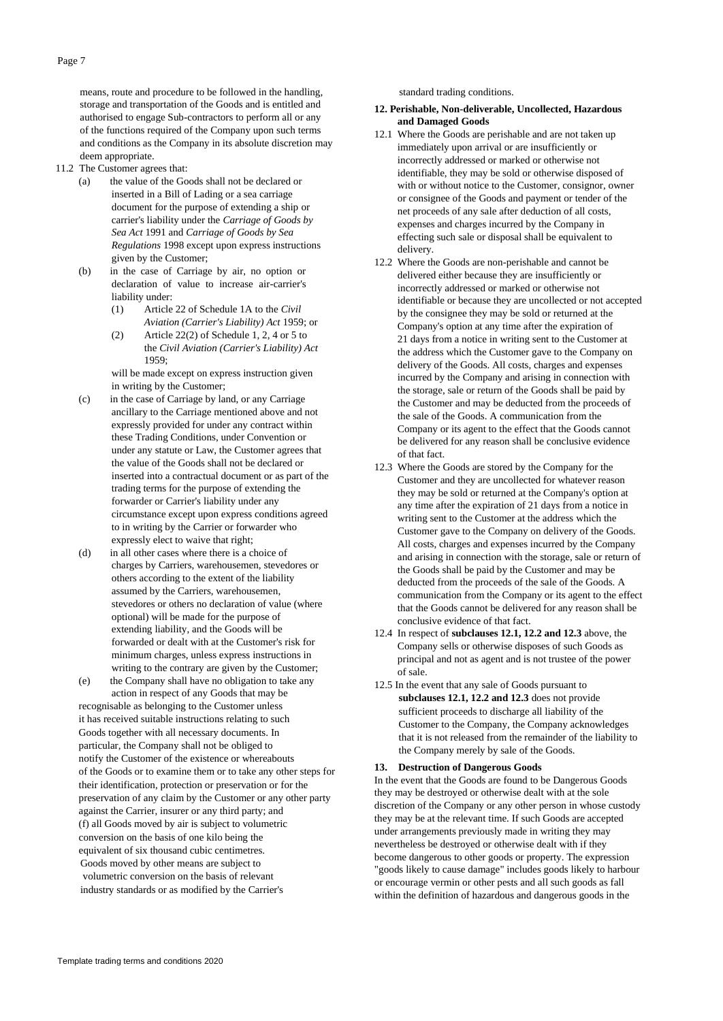means, route and procedure to be followed in the handling, storage and transportation of the Goods and is entitled and authorised to engage Sub-contractors to perform all or any of the functions required of the Company upon such terms and conditions as the Company in its absolute discretion may deem appropriate.

- 11.2 The Customer agrees that:
	- (a) the value of the Goods shall not be declared or inserted in a Bill of Lading or a sea carriage document for the purpose of extending a ship or carrier's liability under the *Carriage of Goods by Sea Act* 1991 and *Carriage of Goods by Sea Regulations* 1998 except upon express instructions given by the Customer;
	- (b) in the case of Carriage by air, no option or declaration of value to increase air-carrier's liability under:
		- (1) Article 22 of Schedule 1A to the *Civil Aviation (Carrier's Liability) Act* 1959; or
		- (2) Article 22(2) of Schedule 1, 2, 4 or 5 to the *Civil Aviation (Carrier's Liability) Act* 1959;

will be made except on express instruction given in writing by the Customer;

- (c) in the case of Carriage by land, or any Carriage ancillary to the Carriage mentioned above and not expressly provided for under any contract within these Trading Conditions, under Convention or under any statute or Law, the Customer agrees that the value of the Goods shall not be declared or inserted into a contractual document or as part of the trading terms for the purpose of extending the forwarder or Carrier's liability under any circumstance except upon express conditions agreed to in writing by the Carrier or forwarder who expressly elect to waive that right;
- (d) in all other cases where there is a choice of charges by Carriers, warehousemen, stevedores or others according to the extent of the liability assumed by the Carriers, warehousemen, stevedores or others no declaration of value (where optional) will be made for the purpose of extending liability, and the Goods will be forwarded or dealt with at the Customer's risk for minimum charges, unless express instructions in writing to the contrary are given by the Customer;
- (e) the Company shall have no obligation to take any action in respect of any Goods that may be

recognisable as belonging to the Customer unless it has received suitable instructions relating to such Goods together with all necessary documents. In particular, the Company shall not be obliged to notify the Customer of the existence or whereabouts of the Goods or to examine them or to take any other steps for their identification, protection or preservation or for the preservation of any claim by the Customer or any other party against the Carrier, insurer or any third party; and (f) all Goods moved by air is subject to volumetric conversion on the basis of one kilo being the equivalent of six thousand cubic centimetres. Goods moved by other means are subject to volumetric conversion on the basis of relevant

industry standards or as modified by the Carrier's

standard trading conditions.

# **12. Perishable, Non-deliverable, Uncollected, Hazardous and Damaged Goods**

- 12.1 Where the Goods are perishable and are not taken up immediately upon arrival or are insufficiently or incorrectly addressed or marked or otherwise not identifiable, they may be sold or otherwise disposed of with or without notice to the Customer, consignor, owner or consignee of the Goods and payment or tender of the net proceeds of any sale after deduction of all costs, expenses and charges incurred by the Company in effecting such sale or disposal shall be equivalent to delivery.
- 12.2 Where the Goods are non-perishable and cannot be delivered either because they are insufficiently or incorrectly addressed or marked or otherwise not identifiable or because they are uncollected or not accepted by the consignee they may be sold or returned at the Company's option at any time after the expiration of 21 days from a notice in writing sent to the Customer at the address which the Customer gave to the Company on delivery of the Goods. All costs, charges and expenses incurred by the Company and arising in connection with the storage, sale or return of the Goods shall be paid by the Customer and may be deducted from the proceeds of the sale of the Goods. A communication from the Company or its agent to the effect that the Goods cannot be delivered for any reason shall be conclusive evidence of that fact.
- 12.3 Where the Goods are stored by the Company for the Customer and they are uncollected for whatever reason they may be sold or returned at the Company's option at any time after the expiration of 21 days from a notice in writing sent to the Customer at the address which the Customer gave to the Company on delivery of the Goods. All costs, charges and expenses incurred by the Company and arising in connection with the storage, sale or return of the Goods shall be paid by the Customer and may be deducted from the proceeds of the sale of the Goods. A communication from the Company or its agent to the effect that the Goods cannot be delivered for any reason shall be conclusive evidence of that fact.
- 12.4 In respect of **subclauses 12.1, 12.2 and 12.3** above, the Company sells or otherwise disposes of such Goods as principal and not as agent and is not trustee of the power of sale.
- 12.5 In the event that any sale of Goods pursuant to **subclauses 12.1, 12.2 and 12.3** does not provide sufficient proceeds to discharge all liability of the Customer to the Company, the Company acknowledges that it is not released from the remainder of the liability to the Company merely by sale of the Goods.

### **13. Destruction of Dangerous Goods**

In the event that the Goods are found to be Dangerous Goods they may be destroyed or otherwise dealt with at the sole discretion of the Company or any other person in whose custody they may be at the relevant time. If such Goods are accepted under arrangements previously made in writing they may nevertheless be destroyed or otherwise dealt with if they become dangerous to other goods or property. The expression "goods likely to cause damage" includes goods likely to harbour or encourage vermin or other pests and all such goods as fall within the definition of hazardous and dangerous goods in the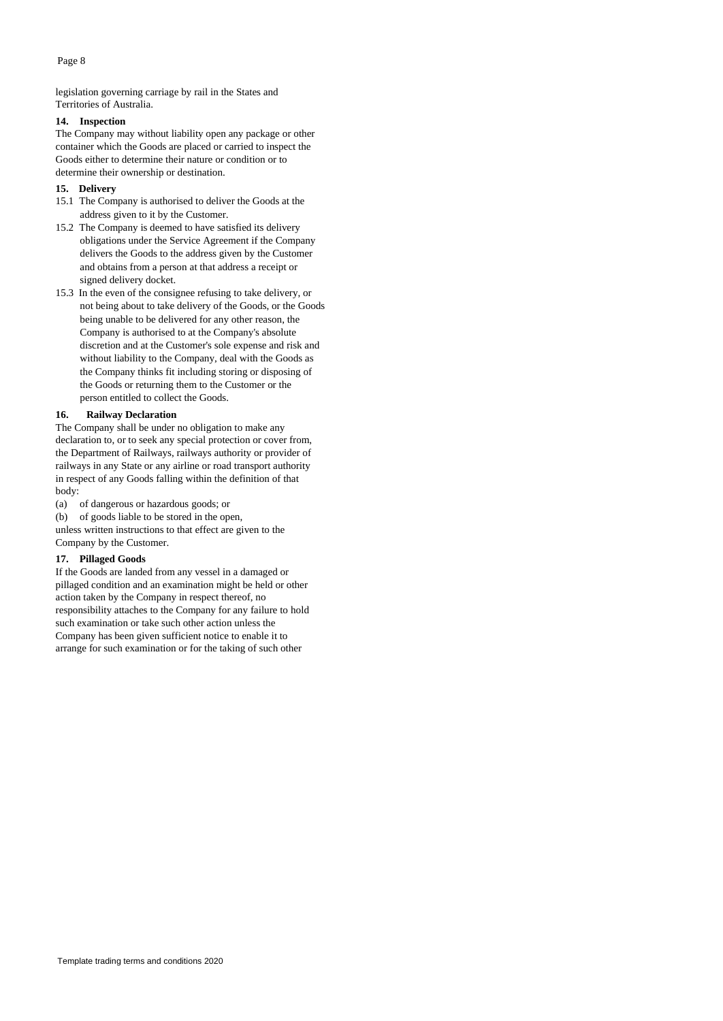legislation governing carriage by rail in the States and Territories of Australia.

# **14. Inspection**

The Company may without liability open any package or other container which the Goods are placed or carried to inspect the Goods either to determine their nature or condition or to determine their ownership or destination.

### **15. Delivery**

- 15.1 The Company is authorised to deliver the Goods at the address given to it by the Customer.
- 15.2 The Company is deemed to have satisfied its delivery obligations under the Service Agreement if the Company delivers the Goods to the address given by the Customer and obtains from a person at that address a receipt or signed delivery docket.
- 15.3 In the even of the consignee refusing to take delivery, or not being about to take delivery of the Goods, or the Goods being unable to be delivered for any other reason, the Company is authorised to at the Company's absolute discretion and at the Customer's sole expense and risk and without liability to the Company, deal with the Goods as the Company thinks fit including storing or disposing of the Goods or returning them to the Customer or the person entitled to collect the Goods.

## **16. Railway Declaration**

The Company shall be under no obligation to make any declaration to, or to seek any special protection or cover from, the Department of Railways, railways authority or provider of railways in any State or any airline or road transport authority in respect of any Goods falling within the definition of that body:

(a) of dangerous or hazardous goods; or

(b) of goods liable to be stored in the open,

unless written instructions to that effect are given to the Company by the Customer.

# **17. Pillaged Goods**

If the Goods are landed from any vessel in a damaged or pillaged condition and an examination might be held or other action taken by the Company in respect thereof, no responsibility attaches to the Company for any failure to hold such examination or take such other action unless the Company has been given sufficient notice to enable it to arrange for such examination or for the taking of such other

Page 8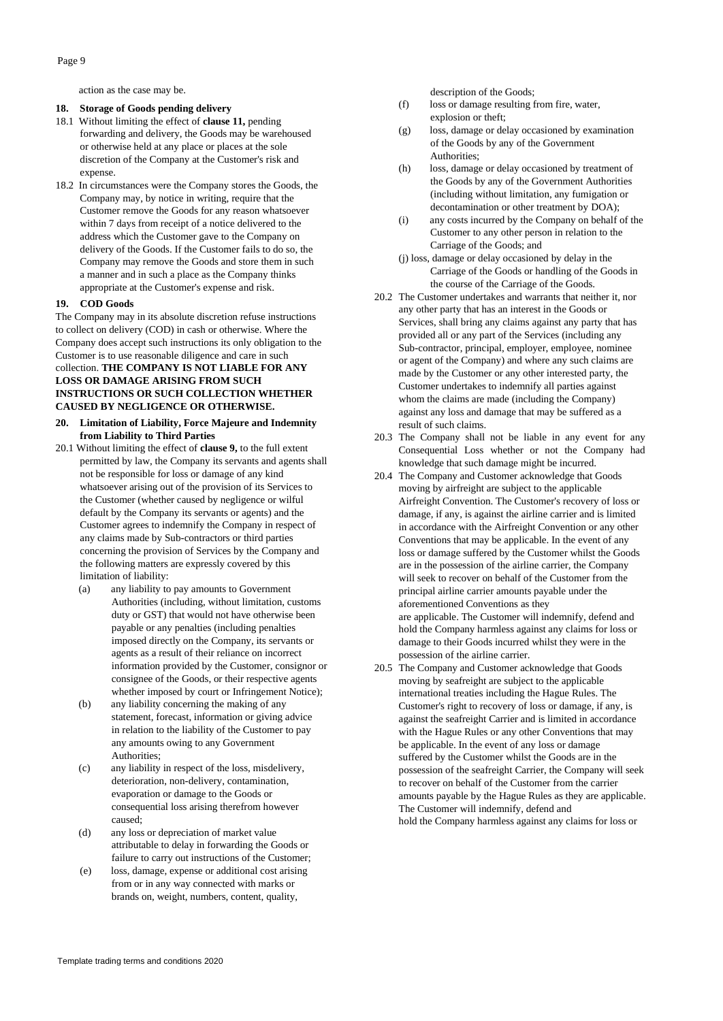Page 9

action as the case may be.

# **18. Storage of Goods pending delivery**

- 18.1 Without limiting the effect of **clause 11,** pending forwarding and delivery, the Goods may be warehoused or otherwise held at any place or places at the sole discretion of the Company at the Customer's risk and expense.
- 18.2 In circumstances were the Company stores the Goods, the Company may, by notice in writing, require that the Customer remove the Goods for any reason whatsoever within 7 days from receipt of a notice delivered to the address which the Customer gave to the Company on delivery of the Goods. If the Customer fails to do so, the Company may remove the Goods and store them in such a manner and in such a place as the Company thinks appropriate at the Customer's expense and risk.

#### **19. COD Goods**

The Company may in its absolute discretion refuse instructions to collect on delivery (COD) in cash or otherwise. Where the Company does accept such instructions its only obligation to the Customer is to use reasonable diligence and care in such collection. **THE COMPANY IS NOT LIABLE FOR ANY LOSS OR DAMAGE ARISING FROM SUCH INSTRUCTIONS OR SUCH COLLECTION WHETHER CAUSED BY NEGLIGENCE OR OTHERWISE.**

## **20. Limitation of Liability, Force Majeure and Indemnity from Liability to Third Parties**

- 20.1 Without limiting the effect of **clause 9,** to the full extent permitted by law, the Company its servants and agents shall not be responsible for loss or damage of any kind whatsoever arising out of the provision of its Services to the Customer (whether caused by negligence or wilful default by the Company its servants or agents) and the Customer agrees to indemnify the Company in respect of any claims made by Sub-contractors or third parties concerning the provision of Services by the Company and the following matters are expressly covered by this limitation of liability:
	- (a) any liability to pay amounts to Government Authorities (including, without limitation, customs duty or GST) that would not have otherwise been payable or any penalties (including penalties imposed directly on the Company, its servants or agents as a result of their reliance on incorrect information provided by the Customer, consignor or consignee of the Goods, or their respective agents whether imposed by court or Infringement Notice);
	- (b) any liability concerning the making of any statement, forecast, information or giving advice in relation to the liability of the Customer to pay any amounts owing to any Government Authorities;
	- (c) any liability in respect of the loss, misdelivery, deterioration, non-delivery, contamination, evaporation or damage to the Goods or consequential loss arising therefrom however caused;
	- (d) any loss or depreciation of market value attributable to delay in forwarding the Goods or failure to carry out instructions of the Customer;
	- (e) loss, damage, expense or additional cost arising from or in any way connected with marks or brands on, weight, numbers, content, quality,

description of the Goods;

- (f) loss or damage resulting from fire, water, explosion or theft;
- (g) loss, damage or delay occasioned by examination of the Goods by any of the Government Authorities:
- (h) loss, damage or delay occasioned by treatment of the Goods by any of the Government Authorities (including without limitation, any fumigation or decontamination or other treatment by DOA);
- (i) any costs incurred by the Company on behalf of the Customer to any other person in relation to the Carriage of the Goods; and
- (j) loss, damage or delay occasioned by delay in the Carriage of the Goods or handling of the Goods in the course of the Carriage of the Goods.
- 20.2 The Customer undertakes and warrants that neither it, nor any other party that has an interest in the Goods or Services, shall bring any claims against any party that has provided all or any part of the Services (including any Sub-contractor, principal, employer, employee, nominee or agent of the Company) and where any such claims are made by the Customer or any other interested party, the Customer undertakes to indemnify all parties against whom the claims are made (including the Company) against any loss and damage that may be suffered as a result of such claims.
- 20.3 The Company shall not be liable in any event for any Consequential Loss whether or not the Company had knowledge that such damage might be incurred.
- 20.4 The Company and Customer acknowledge that Goods moving by airfreight are subject to the applicable Airfreight Convention. The Customer's recovery of loss or damage, if any, is against the airline carrier and is limited in accordance with the Airfreight Convention or any other Conventions that may be applicable. In the event of any loss or damage suffered by the Customer whilst the Goods are in the possession of the airline carrier, the Company will seek to recover on behalf of the Customer from the principal airline carrier amounts payable under the aforementioned Conventions as they are applicable. The Customer will indemnify, defend and hold the Company harmless against any claims for loss or damage to their Goods incurred whilst they were in the possession of the airline carrier.
- 20.5 The Company and Customer acknowledge that Goods moving by seafreight are subject to the applicable international treaties including the Hague Rules. The Customer's right to recovery of loss or damage, if any, is against the seafreight Carrier and is limited in accordance with the Hague Rules or any other Conventions that may be applicable. In the event of any loss or damage suffered by the Customer whilst the Goods are in the possession of the seafreight Carrier, the Company will seek to recover on behalf of the Customer from the carrier amounts payable by the Hague Rules as they are applicable. The Customer will indemnify, defend and hold the Company harmless against any claims for loss or